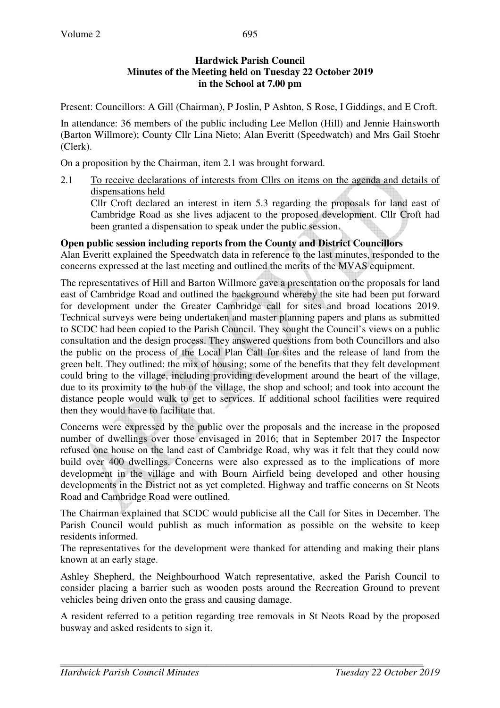# **Hardwick Parish Council Minutes of the Meeting held on Tuesday 22 October 2019 in the School at 7.00 pm**

Present: Councillors: A Gill (Chairman), P Joslin, P Ashton, S Rose, I Giddings, and E Croft.

In attendance: 36 members of the public including Lee Mellon (Hill) and Jennie Hainsworth (Barton Willmore); County Cllr Lina Nieto; Alan Everitt (Speedwatch) and Mrs Gail Stoehr (Clerk).

On a proposition by the Chairman, item 2.1 was brought forward.

2.1 To receive declarations of interests from Cllrs on items on the agenda and details of dispensations held

 Cllr Croft declared an interest in item 5.3 regarding the proposals for land east of Cambridge Road as she lives adjacent to the proposed development. Cllr Croft had been granted a dispensation to speak under the public session.

# **Open public session including reports from the County and District Councillors**

Alan Everitt explained the Speedwatch data in reference to the last minutes, responded to the concerns expressed at the last meeting and outlined the merits of the MVAS equipment.

The representatives of Hill and Barton Willmore gave a presentation on the proposals for land east of Cambridge Road and outlined the background whereby the site had been put forward for development under the Greater Cambridge call for sites and broad locations 2019. Technical surveys were being undertaken and master planning papers and plans as submitted to SCDC had been copied to the Parish Council. They sought the Council's views on a public consultation and the design process. They answered questions from both Councillors and also the public on the process of the Local Plan Call for sites and the release of land from the green belt. They outlined: the mix of housing; some of the benefits that they felt development could bring to the village, including providing development around the heart of the village, due to its proximity to the hub of the village, the shop and school; and took into account the distance people would walk to get to services. If additional school facilities were required then they would have to facilitate that.

Concerns were expressed by the public over the proposals and the increase in the proposed number of dwellings over those envisaged in 2016; that in September 2017 the Inspector refused one house on the land east of Cambridge Road, why was it felt that they could now build over 400 dwellings. Concerns were also expressed as to the implications of more development in the village and with Bourn Airfield being developed and other housing developments in the District not as yet completed. Highway and traffic concerns on St Neots Road and Cambridge Road were outlined.

The Chairman explained that SCDC would publicise all the Call for Sites in December. The Parish Council would publish as much information as possible on the website to keep residents informed.

The representatives for the development were thanked for attending and making their plans known at an early stage.

Ashley Shepherd, the Neighbourhood Watch representative, asked the Parish Council to consider placing a barrier such as wooden posts around the Recreation Ground to prevent vehicles being driven onto the grass and causing damage.

A resident referred to a petition regarding tree removals in St Neots Road by the proposed busway and asked residents to sign it.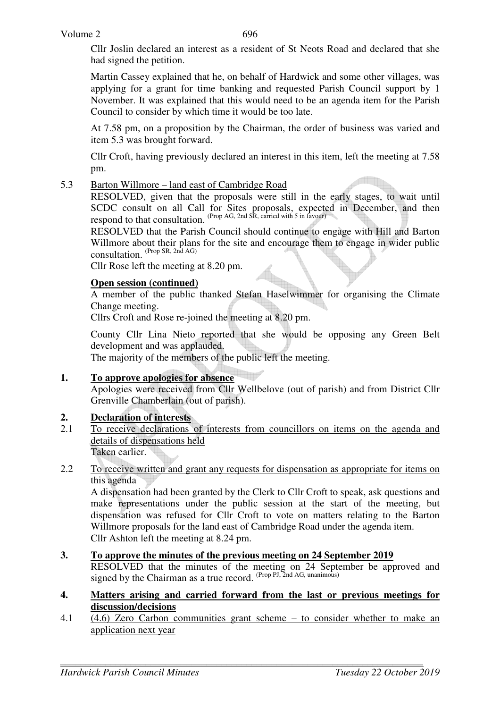Cllr Joslin declared an interest as a resident of St Neots Road and declared that she had signed the petition.

 Martin Cassey explained that he, on behalf of Hardwick and some other villages, was applying for a grant for time banking and requested Parish Council support by 1 November. It was explained that this would need to be an agenda item for the Parish Council to consider by which time it would be too late.

 At 7.58 pm, on a proposition by the Chairman, the order of business was varied and item 5.3 was brought forward.

 Cllr Croft, having previously declared an interest in this item, left the meeting at 7.58 pm.

# 5.3 Barton Willmore – land east of Cambridge Road

 RESOLVED, given that the proposals were still in the early stages, to wait until SCDC consult on all Call for Sites proposals, expected in December, and then respond to that consultation. (Prop AG, 2nd SR, carried with 5 in favour)

 RESOLVED that the Parish Council should continue to engage with Hill and Barton Willmore about their plans for the site and encourage them to engage in wider public consultation. (Prop SR, 2nd AG)

Cllr Rose left the meeting at 8.20 pm.

# **Open session (continued)**

A member of the public thanked Stefan Haselwimmer for organising the Climate Change meeting.

Cllrs Croft and Rose re-joined the meeting at 8.20 pm.

 County Cllr Lina Nieto reported that she would be opposing any Green Belt development and was applauded.

The majority of the members of the public left the meeting.

# **1. To approve apologies for absence**

Apologies were received from Cllr Wellbelove (out of parish) and from District Cllr Grenville Chamberlain (out of parish).

# **2. Declaration of interests**<br>2.1 To receive declarations

2.1 To receive declarations of interests from councillors on items on the agenda and details of dispensations held Taken earlier.

# 2.2 To receive written and grant any requests for dispensation as appropriate for items on this agenda

A dispensation had been granted by the Clerk to Cllr Croft to speak, ask questions and make representations under the public session at the start of the meeting, but dispensation was refused for Cllr Croft to vote on matters relating to the Barton Willmore proposals for the land east of Cambridge Road under the agenda item. Cllr Ashton left the meeting at 8.24 pm.

# **3. To approve the minutes of the previous meeting on 24 September 2019**

 RESOLVED that the minutes of the meeting on 24 September be approved and signed by the Chairman as a true record.  $(Prop\,PI, 2nd\,AG, unanimous)$ 

#### **4. Matters arising and carried forward from the last or previous meetings for discussion/decisions**

4.1 (4.6) Zero Carbon communities grant scheme – to consider whether to make an application next year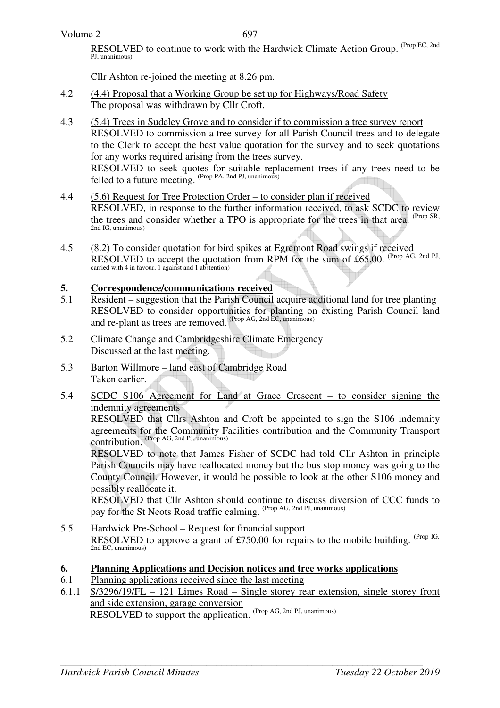#### Volume 2

697

RESOLVED to continue to work with the Hardwick Climate Action Group. (Prop EC, 2nd PJ, unanimous)

Cllr Ashton re-joined the meeting at 8.26 pm.

- 4.2 (4.4) Proposal that a Working Group be set up for Highways/Road Safety The proposal was withdrawn by Cllr Croft.
- 4.3 (5.4) Trees in Sudeley Grove and to consider if to commission a tree survey report RESOLVED to commission a tree survey for all Parish Council trees and to delegate to the Clerk to accept the best value quotation for the survey and to seek quotations for any works required arising from the trees survey. RESOLVED to seek quotes for suitable replacement trees if any trees need to be felled to a future meeting.  $(Prop PA, 2nd PI, 100)$
- 4.4 (5.6) Request for Tree Protection Order to consider plan if received RESOLVED, in response to the further information received, to ask SCDC to review the trees and consider whether a TPO is appropriate for the trees in that area. (Prop SR, 2nd IG, unanimous)
- 4.5 (8.2) To consider quotation for bird spikes at Egremont Road swings if received RESOLVED to accept the quotation from RPM for the sum of £65.00. (Prop AG, 2nd PJ, carried with 4 in favour, 1 against and 1 abstention)

#### **5. Correspondence/communications received**

- 5.1 Resident suggestion that the Parish Council acquire additional land for tree planting RESOLVED to consider opportunities for planting on existing Parish Council land and re-plant as trees are removed. (Prop AG, 2nd EC, unanimous)
- 5.2 Climate Change and Cambridgeshire Climate Emergency Discussed at the last meeting.
- 5.3 Barton Willmore land east of Cambridge Road Taken earlier.
- 5.4 SCDC S106 Agreement for Land at Grace Crescent to consider signing the indemnity agreements

 RESOLVED that Cllrs Ashton and Croft be appointed to sign the S106 indemnity agreements for the Community Facilities contribution and the Community Transport contribution. (Prop AG, 2nd PJ, unanimous)

RESOLVED to note that James Fisher of SCDC had told Cllr Ashton in principle Parish Councils may have reallocated money but the bus stop money was going to the County Council. However, it would be possible to look at the other S106 money and possibly reallocate it.

RESOLVED that Cllr Ashton should continue to discuss diversion of CCC funds to pay for the St Neots Road traffic calming. (Prop AG, 2nd PJ, unanimous)

5.5 Hardwick Pre-School – Request for financial support RESOLVED to approve a grant of £750.00 for repairs to the mobile building. (Prop IG, 2nd EC, unanimous)

#### **6. Planning Applications and Decision notices and tree works applications**

- 6.1 Planning applications received since the last meeting
- 6.1.1 S/3296/19/FL 121 Limes Road Single storey rear extension, single storey front and side extension, garage conversion RESOLVED to support the application. (Prop AG, 2nd PJ, unanimous)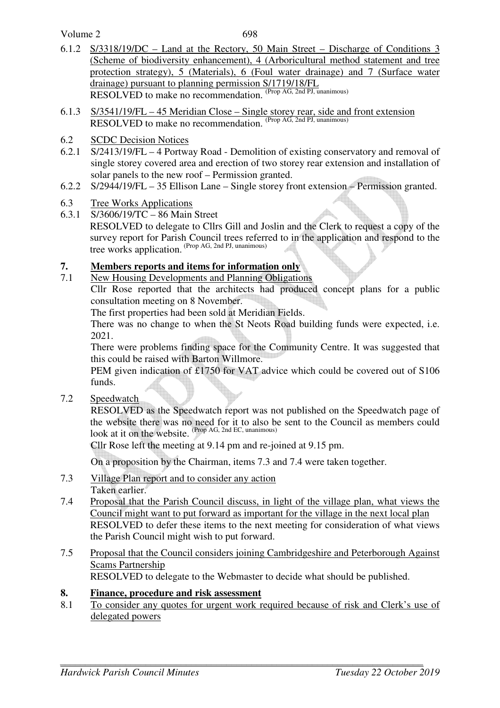Volume 2

- 6.1.2 S/3318/19/DC Land at the Rectory, 50 Main Street Discharge of Conditions 3 (Scheme of biodiversity enhancement), 4 (Arboricultural method statement and tree protection strategy), 5 (Materials), 6 (Foul water drainage) and 7 (Surface water drainage) pursuant to planning permission S/1719/18/FL RESOLVED to make no recommendation. (Prop AG, 2nd PJ, unanimous)
- 6.1.3 S/3541/19/FL 45 Meridian Close Single storey rear, side and front extension RESOLVED to make no recommendation. (Prop AG, 2nd PJ, unanimous)
- 6.2 SCDC Decision Notices
- 6.2.1 S/2413/19/FL 4 Portway Road Demolition of existing conservatory and removal of single storey covered area and erection of two storey rear extension and installation of solar panels to the new roof – Permission granted.
- 6.2.2 S/2944/19/FL 35 Ellison Lane Single storey front extension Permission granted.
- 6.3 Tree Works Applications
- 6.3.1 S/3606/19/TC 86 Main Street RESOLVED to delegate to Cllrs Gill and Joslin and the Clerk to request a copy of the survey report for Parish Council trees referred to in the application and respond to the tree works application. (Prop AG, 2nd PJ, unanimous)

# **7. Members reports and items for information only**

7.1 New Housing Developments and Planning Obligations Cllr Rose reported that the architects had produced concept plans for a public consultation meeting on 8 November.

The first properties had been sold at Meridian Fields.

There was no change to when the St Neots Road building funds were expected, i.e. 2021.

There were problems finding space for the Community Centre. It was suggested that this could be raised with Barton Willmore.

PEM given indication of £1750 for VAT advice which could be covered out of S106 funds.

7.2 Speedwatch

RESOLVED as the Speedwatch report was not published on the Speedwatch page of the website there was no need for it to also be sent to the Council as members could look at it on the website. <sup>(Prop AG, 2nd EC, unanimous)</sup>

Cllr Rose left the meeting at 9.14 pm and re-joined at 9.15 pm.

On a proposition by the Chairman, items 7.3 and 7.4 were taken together.

- 7.3 Village Plan report and to consider any action Taken earlier.
- 7.4 Proposal that the Parish Council discuss, in light of the village plan, what views the Council might want to put forward as important for the village in the next local plan RESOLVED to defer these items to the next meeting for consideration of what views the Parish Council might wish to put forward.
- 7.5 Proposal that the Council considers joining Cambridgeshire and Peterborough Against Scams Partnership RESOLVED to delegate to the Webmaster to decide what should be published.

**8. Finance, procedure and risk assessment**

8.1 To consider any quotes for urgent work required because of risk and Clerk's use of delegated powers